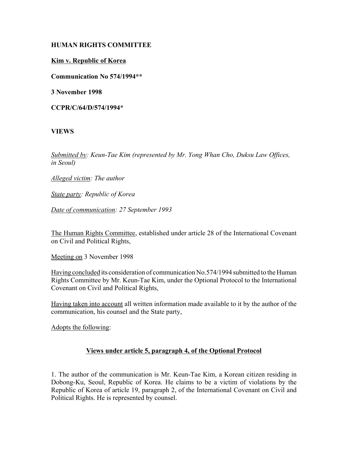## **HUMAN RIGHTS COMMITTEE**

### **Kim v. Republic of Korea**

**Communication No 574/1994\*\***

**3 November 1998**

**CCPR/C/64/D/574/1994\***

### **VIEWS**

*Submitted by: Keun-Tae Kim (represented by Mr. Yong Whan Cho, Duksu Law Offices, in Seoul)* 

*Alleged victim: The author* 

*State party: Republic of Korea* 

*Date of communication: 27 September 1993* 

The Human Rights Committee, established under article 28 of the International Covenant on Civil and Political Rights,

Meeting on 3 November 1998

Having concluded its consideration of communication No.574/1994 submitted to the Human Rights Committee by Mr. Keun-Tae Kim, under the Optional Protocol to the International Covenant on Civil and Political Rights,

Having taken into account all written information made available to it by the author of the communication, his counsel and the State party,

Adopts the following:

#### **Views under article 5, paragraph 4, of the Optional Protocol**

1. The author of the communication is Mr. Keun-Tae Kim, a Korean citizen residing in Dobong-Ku, Seoul, Republic of Korea. He claims to be a victim of violations by the Republic of Korea of article 19, paragraph 2, of the International Covenant on Civil and Political Rights. He is represented by counsel.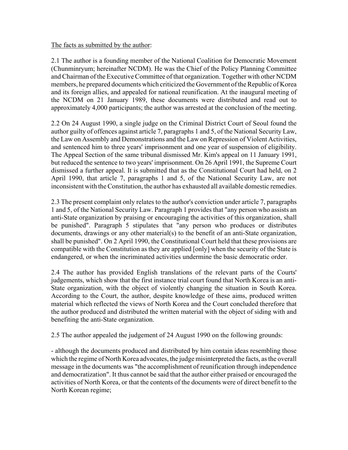### The facts as submitted by the author:

2.1 The author is a founding member of the National Coalition for Democratic Movement (Chunminryum; hereinafter NCDM). He was the Chief of the Policy Planning Committee and Chairman of the Executive Committee of that organization. Together with other NCDM members, he prepared documents which criticized the Government of the Republic of Korea and its foreign allies, and appealed for national reunification. At the inaugural meeting of the NCDM on 21 January 1989, these documents were distributed and read out to approximately 4,000 participants; the author was arrested at the conclusion of the meeting.

2.2 On 24 August 1990, a single judge on the Criminal District Court of Seoul found the author guilty of offences against article 7, paragraphs 1 and 5, of the National Security Law, the Law on Assembly and Demonstrations and the Law on Repression of Violent Activities, and sentenced him to three years' imprisonment and one year of suspension of eligibility. The Appeal Section of the same tribunal dismissed Mr. Kim's appeal on 11 January 1991, but reduced the sentence to two years' imprisonment. On 26 April 1991, the Supreme Court dismissed a further appeal. It is submitted that as the Constitutional Court had held, on 2 April 1990, that article 7, paragraphs 1 and 5, of the National Security Law, are not inconsistent with the Constitution, the author has exhausted all available domestic remedies.

2.3 The present complaint only relates to the author's conviction under article 7, paragraphs 1 and 5, of the National Security Law. Paragraph 1 provides that "any person who assists an anti-State organization by praising or encouraging the activities of this organization, shall be punished". Paragraph 5 stipulates that "any person who produces or distributes documents, drawings or any other material(s) to the benefit of an anti-State organization, shall be punished". On 2 April 1990, the Constitutional Court held that these provisions are compatible with the Constitution as they are applied [only] when the security of the State is endangered, or when the incriminated activities undermine the basic democratic order.

2.4 The author has provided English translations of the relevant parts of the Courts' judgements, which show that the first instance trial court found that North Korea is an anti-State organization, with the object of violently changing the situation in South Korea. According to the Court, the author, despite knowledge of these aims, produced written material which reflected the views of North Korea and the Court concluded therefore that the author produced and distributed the written material with the object of siding with and benefiting the anti-State organization.

2.5 The author appealed the judgement of 24 August 1990 on the following grounds:

- although the documents produced and distributed by him contain ideas resembling those which the regime of North Korea advocates, the judge misinterpreted the facts, as the overall message in the documents was "the accomplishment of reunification through independence and democratization". It thus cannot be said that the author either praised or encouraged the activities of North Korea, or that the contents of the documents were of direct benefit to the North Korean regime;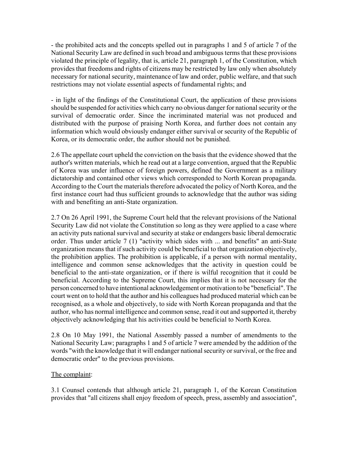- the prohibited acts and the concepts spelled out in paragraphs 1 and 5 of article 7 of the National Security Law are defined in such broad and ambiguous terms that these provisions violated the principle of legality, that is, article 21, paragraph 1, of the Constitution, which provides that freedoms and rights of citizens may be restricted by law only when absolutely necessary for national security, maintenance of law and order, public welfare, and that such restrictions may not violate essential aspects of fundamental rights; and

- in light of the findings of the Constitutional Court, the application of these provisions should be suspended for activities which carry no obvious danger for national security or the survival of democratic order. Since the incriminated material was not produced and distributed with the purpose of praising North Korea, and further does not contain any information which would obviously endanger either survival or security of the Republic of Korea, or its democratic order, the author should not be punished.

2.6 The appellate court upheld the conviction on the basis that the evidence showed that the author's written materials, which he read out at a large convention, argued that the Republic of Korea was under influence of foreign powers, defined the Government as a military dictatorship and contained other views which corresponded to North Korean propaganda. According to the Court the materials therefore advocated the policy of North Korea, and the first instance court had thus sufficient grounds to acknowledge that the author was siding with and benefiting an anti-State organization.

2.7 On 26 April 1991, the Supreme Court held that the relevant provisions of the National Security Law did not violate the Constitution so long as they were applied to a case where an activity puts national survival and security at stake or endangers basic liberal democratic order. Thus under article 7 (1) "activity which sides with ... and benefits" an anti-State organization means that if such activity could be beneficial to that organization objectively, the prohibition applies. The prohibition is applicable, if a person with normal mentality, intelligence and common sense acknowledges that the activity in question could be beneficial to the anti-state organization, or if there is wilful recognition that it could be beneficial. According to the Supreme Court, this implies that it is not necessary for the person concerned to have intentional acknowledgement or motivation to be "beneficial". The court went on to hold that the author and his colleagues had produced material which can be recognised, as a whole and objectively, to side with North Korean propaganda and that the author, who has normal intelligence and common sense, read it out and supported it, thereby objectively acknowledging that his activities could be beneficial to North Korea.

2.8 On 10 May 1991, the National Assembly passed a number of amendments to the National Security Law; paragraphs 1 and 5 of article 7 were amended by the addition of the words "with the knowledge that it will endanger national security or survival, or the free and democratic order" to the previous provisions.

## The complaint:

3.1 Counsel contends that although article 21, paragraph 1, of the Korean Constitution provides that "all citizens shall enjoy freedom of speech, press, assembly and association",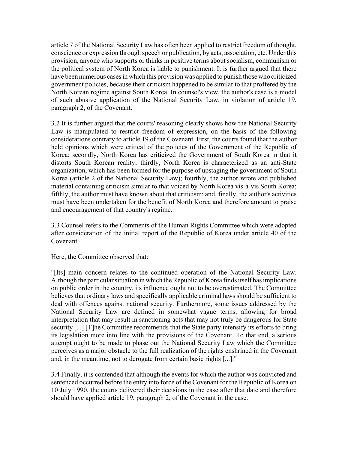article 7 of the National Security Law has often been applied to restrict freedom of thought, conscience or expression through speech or publication, by acts, association, etc. Under this provision, anyone who supports or thinks in positive terms about socialism, communism or the political system of North Korea is liable to punishment. It is further argued that there have been numerous cases in which this provision was applied to punish those who criticized government policies, because their criticism happened to be similar to that proffered by the North Korean regime against South Korea. In counsel's view, the author's case is a model of such abusive application of the National Security Law, in violation of article 19, paragraph 2, of the Covenant.

3.2 It is further argued that the courts' reasoning clearly shows how the National Security Law is manipulated to restrict freedom of expression, on the basis of the following considerations contrary to article 19 of the Covenant. First, the courts found that the author held opinions which were critical of the policies of the Government of the Republic of Korea; secondly, North Korea has criticized the Government of South Korea in that it distorts South Korean reality; thirdly, North Korea is characterized as an anti-State organization, which has been formed for the purpose of upstaging the government of South Korea (article 2 of the National Security Law); fourthly, the author wrote and published material containing criticism similar to that voiced by North Korea vis-à-vis South Korea; fifthly, the author must have known about that criticism; and, finally, the author's activities must have been undertaken for the benefit of North Korea and therefore amount to praise and encouragement of that country's regime.

3.3 Counsel refers to the Comments of the Human Rights Committee which were adopted after consideration of the initial report of the Republic of Korea under article 40 of the Covenant. $1$ 

Here, the Committee observed that:

"[Its] main concern relates to the continued operation of the National Security Law. Although the particular situation in which the Republic of Korea finds itself has implications on public order in the country, its influence ought not to be overestimated. The Committee believes that ordinary laws and specifically applicable criminal laws should be sufficient to deal with offences against national security. Furthermore, some issues addressed by the National Security Law are defined in somewhat vague terms, allowing for broad interpretation that may result in sanctioning acts that may not truly be dangerous for State security [...] [T]he Committee recommends that the State party intensify its efforts to bring its legislation more into line with the provisions of the Covenant. To that end, a serious attempt ought to be made to phase out the National Security Law which the Committee perceives as a major obstacle to the full realization of the rights enshrined in the Covenant and, in the meantime, not to derogate from certain basic rights [...]."

3.4 Finally, it is contended that although the events for which the author was convicted and sentenced occurred before the entry into force of the Covenant for the Republic of Korea on 10 July 1990, the courts delivered their decisions in the case after that date and therefore should have applied article 19, paragraph 2, of the Covenant in the case.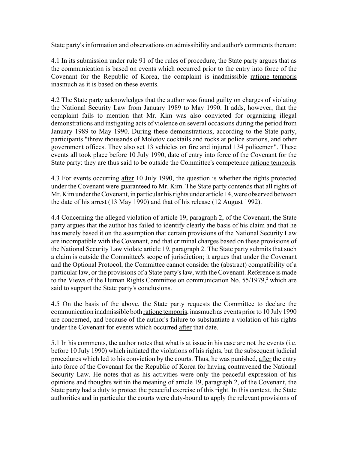### State party's information and observations on admissibility and author's comments thereon:

4.1 In its submission under rule 91 of the rules of procedure, the State party argues that as the communication is based on events which occurred prior to the entry into force of the Covenant for the Republic of Korea, the complaint is inadmissible ratione temporis inasmuch as it is based on these events.

4.2 The State party acknowledges that the author was found guilty on charges of violating the National Security Law from January 1989 to May 1990. It adds, however, that the complaint fails to mention that Mr. Kim was also convicted for organizing illegal demonstrations and instigating acts of violence on several occasions during the period from January 1989 to May 1990. During these demonstrations, according to the State party, participants "threw thousands of Molotov cocktails and rocks at police stations, and other government offices. They also set 13 vehicles on fire and injured 134 policemen". These events all took place before 10 July 1990, date of entry into force of the Covenant for the State party: they are thus said to be outside the Committee's competence ratione temporis.

4.3 For events occurring after 10 July 1990, the question is whether the rights protected under the Covenant were guaranteed to Mr. Kim. The State party contends that all rights of Mr. Kim under the Covenant, in particular his rights under article 14, were observed between the date of his arrest (13 May 1990) and that of his release (12 August 1992).

4.4 Concerning the alleged violation of article 19, paragraph 2, of the Covenant, the State party argues that the author has failed to identify clearly the basis of his claim and that he has merely based it on the assumption that certain provisions of the National Security Law are incompatible with the Covenant, and that criminal charges based on these provisions of the National Security Law violate article 19, paragraph 2. The State party submits that such a claim is outside the Committee's scope of jurisdiction; it argues that under the Covenant and the Optional Protocol, the Committee cannot consider the (abstract) compatibility of a particular law, or the provisions of a State party's law, with the Covenant. Reference is made to the Views of the Human Rights Committee on communication No. 55/1979,<sup>2</sup> which are said to support the State party's conclusions.

4.5 On the basis of the above, the State party requests the Committee to declare the communication inadmissible both ratione temporis, inasmuch as events prior to 10 July 1990 are concerned, and because of the author's failure to substantiate a violation of his rights under the Covenant for events which occurred after that date.

5.1 In his comments, the author notes that what is at issue in his case are not the events (i.e. before 10 July 1990) which initiated the violations of his rights, but the subsequent judicial procedures which led to his conviction by the courts. Thus, he was punished, after the entry into force of the Covenant for the Republic of Korea for having contravened the National Security Law. He notes that as his activities were only the peaceful expression of his opinions and thoughts within the meaning of article 19, paragraph 2, of the Covenant, the State party had a duty to protect the peaceful exercise of this right. In this context, the State authorities and in particular the courts were duty-bound to apply the relevant provisions of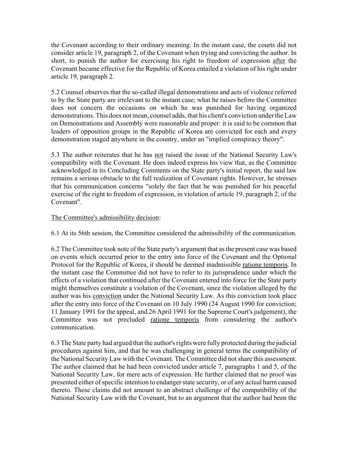the Covenant according to their ordinary meaning. In the instant case, the courts did not consider article 19, paragraph 2, of the Covenant when trying and convicting the author. In short, to punish the author for exercising his right to freedom of expression after the Covenant became effective for the Republic of Korea entailed a violation of his right under article 19, paragraph 2.

5.2 Counsel observes that the so-called illegal demonstrations and acts of violence referred to by the State party are irrelevant to the instant case; what he raises before the Committee does not concern the occasions on which he was punished for having organized demonstrations. This does not mean, counsel adds, that his client's conviction under the Law on Demonstrations and Assembly were reasonable and proper: it is said to be common that leaders of opposition groups in the Republic of Korea are convicted for each and every demonstration staged anywhere in the country, under an "implied conspiracy theory".

5.3 The author reiterates that he has not raised the issue of the National Security Law's compatibility with the Covenant. He does indeed express his view that, as the Committee acknowledged in its Concluding Comments on the State party's initial report, the said law remains a serious obstacle to the full realization of Covenant rights. However, he stresses that his communication concerns "solely the fact that he was punished for his peaceful exercise of the right to freedom of expression, in violation of article 19, paragraph 2, of the Covenant".

## The Committee's admissibility decision:

6.1 At its 56th session, the Committee considered the admissibility of the communication.

6.2 The Committee took note of the State party's argument that as the present case was based on events which occurred prior to the entry into force of the Covenant and the Optional Protocol for the Republic of Korea, it should be deemed inadmissible ratione temporis. In the instant case the Committee did not have to refer to its jurisprudence under which the effects of a violation that continued after the Covenant entered into force for the State party might themselves constitute a violation of the Covenant, since the violation alleged by the author was his conviction under the National Security Law. As this conviction took place after the entry into force of the Covenant on 10 July 1990 (24 August 1990 for conviction; 11 January 1991 for the appeal, and 26 April 1991 for the Supreme Court's judgement), the Committee was not precluded ratione temporis from considering the author's communication.

6.3 The State party had argued that the author's rights were fully protected during the judicial procedures against him, and that he was challenging in general terms the compatibility of the National Security Law with the Covenant. The Committee did not share this assessment. The author claimed that he had been convicted under article 7, paragraphs 1 and 5, of the National Security Law, for mere acts of expression. He further claimed that no proof was presented either of specific intention to endanger state security, or of any actual harm caused thereto. These claims did not amount to an abstract challenge of the compatibility of the National Security Law with the Covenant, but to an argument that the author had been the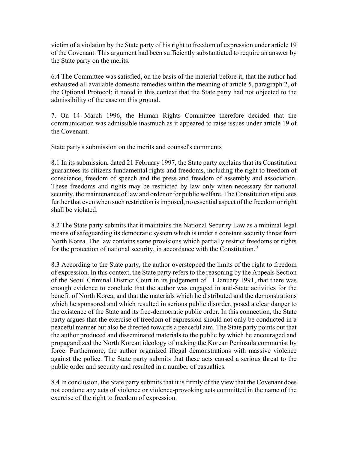victim of a violation by the State party of his right to freedom of expression under article 19 of the Covenant. This argument had been sufficiently substantiated to require an answer by the State party on the merits.

6.4 The Committee was satisfied, on the basis of the material before it, that the author had exhausted all available domestic remedies within the meaning of article 5, paragraph 2, of the Optional Protocol; it noted in this context that the State party had not objected to the admissibility of the case on this ground.

7. On 14 March 1996, the Human Rights Committee therefore decided that the communication was admissible inasmuch as it appeared to raise issues under article 19 of the Covenant.

## State party's submission on the merits and counsel's comments

8.1 In its submission, dated 21 February 1997, the State party explains that its Constitution guarantees its citizens fundamental rights and freedoms, including the right to freedom of conscience, freedom of speech and the press and freedom of assembly and association. These freedoms and rights may be restricted by law only when necessary for national security, the maintenance of law and order or for public welfare. The Constitution stipulates further that even when such restriction is imposed, no essential aspect of the freedom or right shall be violated.

8.2 The State party submits that it maintains the National Security Law as a minimal legal means of safeguarding its democratic system which is under a constant security threat from North Korea. The law contains some provisions which partially restrict freedoms or rights for the protection of national security, in accordance with the Constitution.<sup>3</sup>

8.3 According to the State party, the author overstepped the limits of the right to freedom of expression. In this context, the State party refers to the reasoning by the Appeals Section of the Seoul Criminal District Court in its judgement of 11 January 1991, that there was enough evidence to conclude that the author was engaged in anti-State activities for the benefit of North Korea, and that the materials which he distributed and the demonstrations which he sponsored and which resulted in serious public disorder, posed a clear danger to the existence of the State and its free-democratic public order. In this connection, the State party argues that the exercise of freedom of expression should not only be conducted in a peaceful manner but also be directed towards a peaceful aim. The State party points out that the author produced and disseminated materials to the public by which he encouraged and propagandized the North Korean ideology of making the Korean Peninsula communist by force. Furthermore, the author organized illegal demonstrations with massive violence against the police. The State party submits that these acts caused a serious threat to the public order and security and resulted in a number of casualties.

8.4 In conclusion, the State party submits that it is firmly of the view that the Covenant does not condone any acts of violence or violence-provoking acts committed in the name of the exercise of the right to freedom of expression.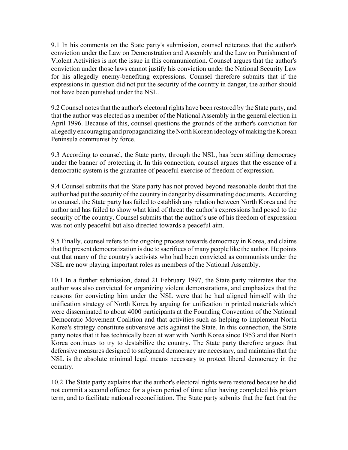9.1 In his comments on the State party's submission, counsel reiterates that the author's conviction under the Law on Demonstration and Assembly and the Law on Punishment of Violent Activities is not the issue in this communication. Counsel argues that the author's conviction under those laws cannot justify his conviction under the National Security Law for his allegedly enemy-benefiting expressions. Counsel therefore submits that if the expressions in question did not put the security of the country in danger, the author should not have been punished under the NSL.

9.2 Counsel notes that the author's electoral rights have been restored by the State party, and that the author was elected as a member of the National Assembly in the general election in April 1996. Because of this, counsel questions the grounds of the author's conviction for allegedly encouraging and propagandizing the North Korean ideology of making the Korean Peninsula communist by force.

9.3 According to counsel, the State party, through the NSL, has been stifling democracy under the banner of protecting it. In this connection, counsel argues that the essence of a democratic system is the guarantee of peaceful exercise of freedom of expression.

9.4 Counsel submits that the State party has not proved beyond reasonable doubt that the author had put the security of the country in danger by disseminating documents. According to counsel, the State party has failed to establish any relation between North Korea and the author and has failed to show what kind of threat the author's expressions had posed to the security of the country. Counsel submits that the author's use of his freedom of expression was not only peaceful but also directed towards a peaceful aim.

9.5 Finally, counsel refers to the ongoing process towards democracy in Korea, and claims that the present democratization is due to sacrifices of many people like the author. He points out that many of the country's activists who had been convicted as communists under the NSL are now playing important roles as members of the National Assembly.

10.1 In a further submission, dated 21 February 1997, the State party reiterates that the author was also convicted for organizing violent demonstrations, and emphasizes that the reasons for convicting him under the NSL were that he had aligned himself with the unification strategy of North Korea by arguing for unification in printed materials which were disseminated to about 4000 participants at the Founding Convention of the National Democratic Movement Coalition and that activities such as helping to implement North Korea's strategy constitute subversive acts against the State. In this connection, the State party notes that it has technically been at war with North Korea since 1953 and that North Korea continues to try to destabilize the country. The State party therefore argues that defensive measures designed to safeguard democracy are necessary, and maintains that the NSL is the absolute minimal legal means necessary to protect liberal democracy in the country.

10.2 The State party explains that the author's electoral rights were restored because he did not commit a second offence for a given period of time after having completed his prison term, and to facilitate national reconciliation. The State party submits that the fact that the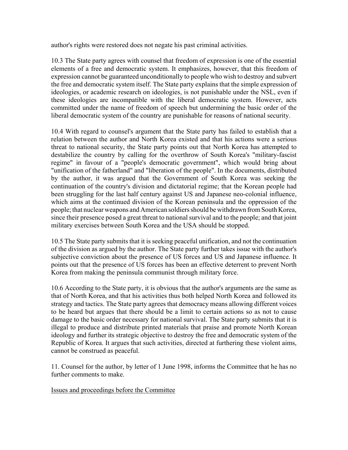author's rights were restored does not negate his past criminal activities.

10.3 The State party agrees with counsel that freedom of expression is one of the essential elements of a free and democratic system. It emphasizes, however, that this freedom of expression cannot be guaranteed unconditionally to people who wish to destroy and subvert the free and democratic system itself. The State party explains that the simple expression of ideologies, or academic research on ideologies, is not punishable under the NSL, even if these ideologies are incompatible with the liberal democratic system. However, acts committed under the name of freedom of speech but undermining the basic order of the liberal democratic system of the country are punishable for reasons of national security.

10.4 With regard to counsel's argument that the State party has failed to establish that a relation between the author and North Korea existed and that his actions were a serious threat to national security, the State party points out that North Korea has attempted to destabilize the country by calling for the overthrow of South Korea's "military-fascist regime" in favour of a "people's democratic government", which would bring about "unification of the fatherland" and "liberation of the people". In the documents, distributed by the author, it was argued that the Government of South Korea was seeking the continuation of the country's division and dictatorial regime; that the Korean people had been struggling for the last half century against US and Japanese neo-colonial influence, which aims at the continued division of the Korean peninsula and the oppression of the people; that nuclear weapons and American soldiers should be withdrawn from South Korea, since their presence posed a great threat to national survival and to the people; and that joint military exercises between South Korea and the USA should be stopped.

10.5 The State party submits that it is seeking peaceful unification, and not the continuation of the division as argued by the author. The State party further takes issue with the author's subjective conviction about the presence of US forces and US and Japanese influence. It points out that the presence of US forces has been an effective deterrent to prevent North Korea from making the peninsula communist through military force.

10.6 According to the State party, it is obvious that the author's arguments are the same as that of North Korea, and that his activities thus both helped North Korea and followed its strategy and tactics. The State party agrees that democracy means allowing different voices to be heard but argues that there should be a limit to certain actions so as not to cause damage to the basic order necessary for national survival. The State party submits that it is illegal to produce and distribute printed materials that praise and promote North Korean ideology and further its strategic objective to destroy the free and democratic system of the Republic of Korea. It argues that such activities, directed at furthering these violent aims, cannot be construed as peaceful.

11. Counsel for the author, by letter of 1 June 1998, informs the Committee that he has no further comments to make.

Issues and proceedings before the Committee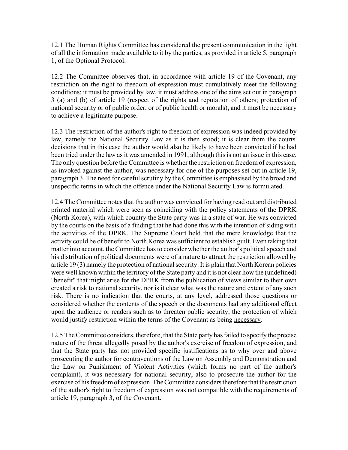12.1 The Human Rights Committee has considered the present communication in the light of all the information made available to it by the parties, as provided in article 5, paragraph 1, of the Optional Protocol.

12.2 The Committee observes that, in accordance with article 19 of the Covenant, any restriction on the right to freedom of expression must cumulatively meet the following conditions: it must be provided by law, it must address one of the aims set out in paragraph 3 (a) and (b) of article 19 (respect of the rights and reputation of others; protection of national security or of public order, or of public health or morals), and it must be necessary to achieve a legitimate purpose.

12.3 The restriction of the author's right to freedom of expression was indeed provided by law, namely the National Security Law as it is then stood; it is clear from the courts' decisions that in this case the author would also be likely to have been convicted if he had been tried under the law as it was amended in 1991, although this is not an issue in this case. The only question before the Committee is whether the restriction on freedom of expression, as invoked against the author, was necessary for one of the purposes set out in article 19, paragraph 3. The need for careful scrutiny by the Committee is emphasised by the broad and unspecific terms in which the offence under the National Security Law is formulated.

12.4 The Committee notes that the author was convicted for having read out and distributed printed material which were seen as coinciding with the policy statements of the DPRK (North Korea), with which country the State party was in a state of war. He was convicted by the courts on the basis of a finding that he had done this with the intention of siding with the activities of the DPRK. The Supreme Court held that the mere knowledge that the activity could be of benefit to North Korea was sufficient to establish guilt. Even taking that matter into account, the Committee has to consider whether the author's political speech and his distribution of political documents were of a nature to attract the restriction allowed by article 19 (3) namely the protection of national security. It is plain that North Korean policies were well known within the territory of the State party and it is not clear how the (undefined) "benefit" that might arise for the DPRK from the publication of views similar to their own created a risk to national security, nor is it clear what was the nature and extent of any such risk. There is no indication that the courts, at any level, addressed those questions or considered whether the contents of the speech or the documents had any additional effect upon the audience or readers such as to threaten public security, the protection of which would justify restriction within the terms of the Covenant as being necessary.

12.5 The Committee considers, therefore, that the State party has failed to specify the precise nature of the threat allegedly posed by the author's exercise of freedom of expression, and that the State party has not provided specific justifications as to why over and above prosecuting the author for contraventions of the Law on Assembly and Demonstration and the Law on Punishment of Violent Activities (which forms no part of the author's complaint), it was necessary for national security, also to prosecute the author for the exercise of his freedom of expression. The Committee considers therefore that the restriction of the author's right to freedom of expression was not compatible with the requirements of article 19, paragraph 3, of the Covenant.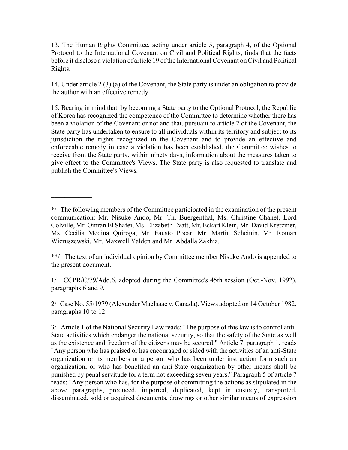13. The Human Rights Committee, acting under article 5, paragraph 4, of the Optional Protocol to the International Covenant on Civil and Political Rights, finds that the facts before it disclose a violation of article 19 of the International Covenant on Civil and Political Rights.

14. Under article 2 (3) (a) of the Covenant, the State party is under an obligation to provide the author with an effective remedy.

15. Bearing in mind that, by becoming a State party to the Optional Protocol, the Republic of Korea has recognized the competence of the Committee to determine whether there has been a violation of the Covenant or not and that, pursuant to article 2 of the Covenant, the State party has undertaken to ensure to all individuals within its territory and subject to its jurisdiction the rights recognized in the Covenant and to provide an effective and enforceable remedy in case a violation has been established, the Committee wishes to receive from the State party, within ninety days, information about the measures taken to give effect to the Committee's Views. The State party is also requested to translate and publish the Committee's Views.

 $\frac{1}{2}$ 

1/ CCPR/C/79/Add.6, adopted during the Committee's 45th session (Oct.-Nov. 1992), paragraphs 6 and 9.

2/ Case No. 55/1979 (Alexander MacIsaac v. Canada), Views adopted on 14 October 1982, paragraphs 10 to 12.

<sup>\*/</sup> The following members of the Committee participated in the examination of the present communication: Mr. Nisuke Ando, Mr. Th. Buergenthal, Ms. Christine Chanet, Lord Colville, Mr. Omran El Shafei, Ms. Elizabeth Evatt, Mr. Eckart Klein, Mr. David Kretzmer, Ms. Cecilia Medina Quiroga, Mr. Fausto Pocar, Mr. Martin Scheinin, Mr. Roman Wieruszewski, Mr. Maxwell Yalden and Mr. Abdalla Zakhia.

<sup>\*\*/</sup> The text of an individual opinion by Committee member Nisuke Ando is appended to the present document.

<sup>3/</sup> Article 1 of the National Security Law reads: "The purpose of this law is to control anti-State activities which endanger the national security, so that the safety of the State as well as the existence and freedom of the citizens may be secured." Article 7, paragraph 1, reads "Any person who has praised or has encouraged or sided with the activities of an anti-State organization or its members or a person who has been under instruction form such an organization, or who has benefited an anti-State organization by other means shall be punished by penal servitude for a term not exceeding seven years." Paragraph 5 of article 7 reads: "Any person who has, for the purpose of committing the actions as stipulated in the above paragraphs, produced, imported, duplicated, kept in custody, transported, disseminated, sold or acquired documents, drawings or other similar means of expression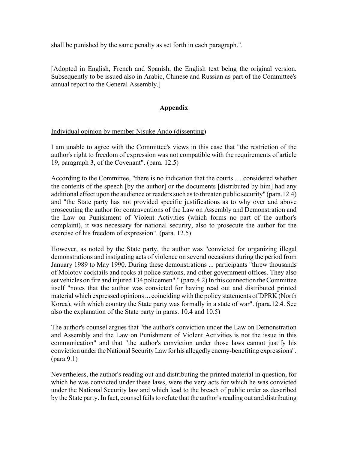shall be punished by the same penalty as set forth in each paragraph.".

[Adopted in English, French and Spanish, the English text being the original version. Subsequently to be issued also in Arabic, Chinese and Russian as part of the Committee's annual report to the General Assembly.]

# **Appendix**

### Individual opinion by member Nisuke Ando (dissenting)

I am unable to agree with the Committee's views in this case that "the restriction of the author's right to freedom of expression was not compatible with the requirements of article 19, paragraph 3, of the Covenant". (para. 12.5)

According to the Committee, "there is no indication that the courts .... considered whether the contents of the speech [by the author] or the documents [distributed by him] had any additional effect upon the audience or readers such as to threaten public security" (para.12.4) and "the State party has not provided specific justifications as to why over and above prosecuting the author for contraventions of the Law on Assembly and Demonstration and the Law on Punishment of Violent Activities (which forms no part of the author's complaint), it was necessary for national security, also to prosecute the author for the exercise of his freedom of expression". (para. 12.5)

However, as noted by the State party, the author was "convicted for organizing illegal demonstrations and instigating acts of violence on several occasions during the period from January 1989 to May 1990. During these demonstrations ... participants "threw thousands of Molotov cocktails and rocks at police stations, and other government offices. They also set vehicles on fire and injured 134 policemen"." (para.4.2) In this connection the Committee itself "notes that the author was convicted for having read out and distributed printed material which expressed opinions ... coinciding with the policy statements of DPRK (North Korea), with which country the State party was formally in a state of war". (para.12.4. See also the explanation of the State party in paras. 10.4 and 10.5)

The author's counsel argues that "the author's conviction under the Law on Demonstration and Assembly and the Law on Punishment of Violent Activities is not the issue in this communication" and that "the author's conviction under those laws cannot justify his conviction under the National Security Law for his allegedly enemy-benefiting expressions". (para.9.1)

Nevertheless, the author's reading out and distributing the printed material in question, for which he was convicted under these laws, were the very acts for which he was convicted under the National Security law and which lead to the breach of public order as described by the State party. In fact, counsel fails to refute that the author's reading out and distributing